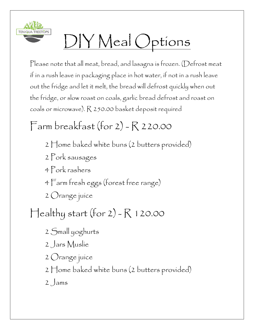

## DIY Meal Options

Please note that all meat, bread, and lasagna is frozen. (Defrost meat if in a rush leave in packaging place in hot water, if not in a rush leave out the fridge and let it melt, the bread will defrost quickly when out the fridge, or slow roast on coals, garlic bread defrost and roast on coals or microwave). R 250.00 basket deposit required

## Farm breakfast (for  $2)$  -  $R$  220.00

- 2 Home baked white buns (2 butters provided)
- 2 Pork sausages
- 4 Pork rashers
- 4 Farm fresh eggs (forest free range)
- 2 Orange juice

## $\text{Healthy start (for 2)} - R$  120.00

- 2 Small yoghurts
- 2 Jars Muslie
- 2 Orange juice
- 2 Home baked white buns (2 butters provided)
- 2 Jams